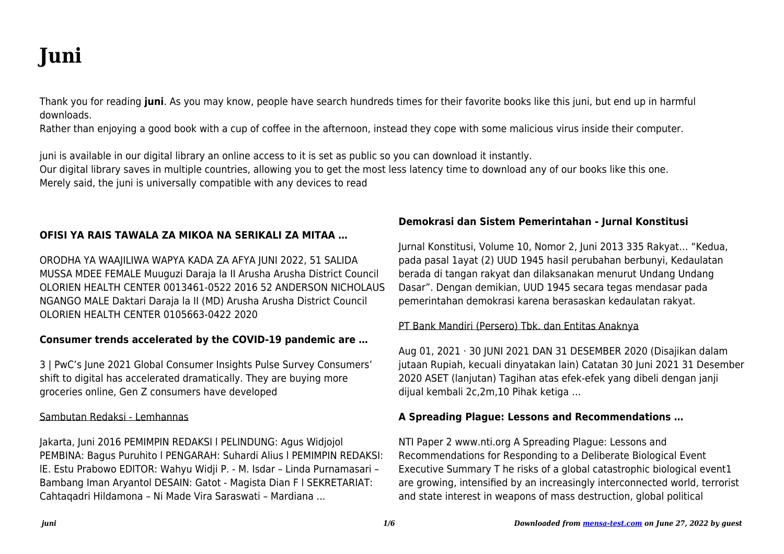# **Juni**

Thank you for reading **juni**. As you may know, people have search hundreds times for their favorite books like this juni, but end up in harmful downloads.

Rather than enjoying a good book with a cup of coffee in the afternoon, instead they cope with some malicious virus inside their computer.

juni is available in our digital library an online access to it is set as public so you can download it instantly.

Our digital library saves in multiple countries, allowing you to get the most less latency time to download any of our books like this one. Merely said, the juni is universally compatible with any devices to read

# **OFISI YA RAIS TAWALA ZA MIKOA NA SERIKALI ZA MITAA …**

ORODHA YA WAAJILIWA WAPYA KADA ZA AFYA JUNI 2022, 51 SALIDA MUSSA MDEE FEMALE Muuguzi Daraja la II Arusha Arusha District Council OLORIEN HEALTH CENTER 0013461-0522 2016 52 ANDERSON NICHOLAUS NGANGO MALE Daktari Daraja la II (MD) Arusha Arusha District Council OLORIEN HEALTH CENTER 0105663-0422 2020

# **Consumer trends accelerated by the COVID-19 pandemic are …**

3 | PwC's June 2021 Global Consumer Insights Pulse Survey Consumers' shift to digital has accelerated dramatically. They are buying more groceries online, Gen Z consumers have developed

## Sambutan Redaksi - Lemhannas

Jakarta, Juni 2016 PEMIMPIN REDAKSI l PELINDUNG: Agus Widjojol PEMBINA: Bagus Puruhito l PENGARAH: Suhardi Alius l PEMIMPIN REDAKSI: lE. Estu Prabowo EDITOR: Wahyu Widji P. - M. Isdar – Linda Purnamasari – Bambang Iman Aryantol DESAIN: Gatot - Magista Dian F l SEKRETARIAT: Cahtaqadri Hildamona – Ni Made Vira Saraswati – Mardiana ...

# **Demokrasi dan Sistem Pemerintahan - Jurnal Konstitusi**

Jurnal Konstitusi, Volume 10, Nomor 2, Juni 2013 335 Rakyat… "Kedua, pada pasal 1ayat (2) UUD 1945 hasil perubahan berbunyi, Kedaulatan berada di tangan rakyat dan dilaksanakan menurut Undang Undang Dasar". Dengan demikian, UUD 1945 secara tegas mendasar pada pemerintahan demokrasi karena berasaskan kedaulatan rakyat.

# PT Bank Mandiri (Persero) Tbk. dan Entitas Anaknya

Aug 01, 2021 · 30 JUNI 2021 DAN 31 DESEMBER 2020 (Disajikan dalam jutaan Rupiah, kecuali dinyatakan lain) Catatan 30 Juni 2021 31 Desember 2020 ASET (lanjutan) Tagihan atas efek-efek yang dibeli dengan janji dijual kembali 2c,2m,10 Pihak ketiga …

# **A Spreading Plague: Lessons and Recommendations …**

NTI Paper 2 www.nti.org A Spreading Plague: Lessons and Recommendations for Responding to a Deliberate Biological Event Executive Summary T he risks of a global catastrophic biological event1 are growing, intensified by an increasingly interconnected world, terrorist and state interest in weapons of mass destruction, global political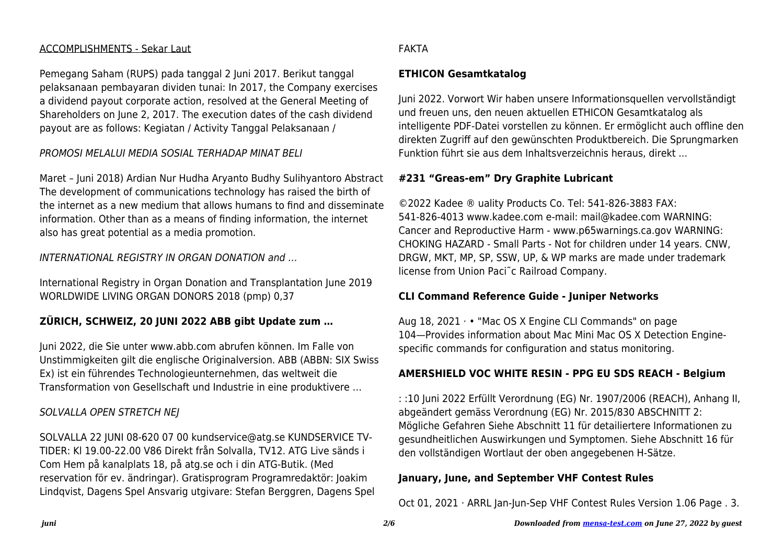## ACCOMPLISHMENTS - Sekar Laut

Pemegang Saham (RUPS) pada tanggal 2 Juni 2017. Berikut tanggal pelaksanaan pembayaran dividen tunai: In 2017, the Company exercises a dividend payout corporate action, resolved at the General Meeting of Shareholders on June 2, 2017. The execution dates of the cash dividend payout are as follows: Kegiatan / Activity Tanggal Pelaksanaan /

PROMOSI MELALUI MEDIA SOSIAL TERHADAP MINAT BELI

Maret – Juni 2018) Ardian Nur Hudha Aryanto Budhy Sulihyantoro Abstract The development of communications technology has raised the birth of the internet as a new medium that allows humans to find and disseminate information. Other than as a means of finding information, the internet also has great potential as a media promotion.

INTERNATIONAL REGISTRY IN ORGAN DONATION and …

International Registry in Organ Donation and Transplantation June 2019 WORLDWIDE LIVING ORGAN DONORS 2018 (pmp) 0,37

# **ZÜRICH, SCHWEIZ, 20 JUNI 2022 ABB gibt Update zum …**

Juni 2022, die Sie unter www.abb.com abrufen können. Im Falle von Unstimmigkeiten gilt die englische Originalversion. ABB (ABBN: SIX Swiss Ex) ist ein führendes Technologieunternehmen, das weltweit die Transformation von Gesellschaft und Industrie in eine produktivere …

# SOLVALLA OPEN STRETCH NEJ

SOLVALLA 22 JUNI 08-620 07 00 kundservice@atg.se KUNDSERVICE TV-TIDER: Kl 19.00-22.00 V86 Direkt från Solvalla, TV12. ATG Live sänds i Com Hem på kanalplats 18, på atg.se och i din ATG-Butik. (Med reservation för ev. ändringar). Gratisprogram Programredaktör: Joakim Lindqvist, Dagens Spel Ansvarig utgivare: Stefan Berggren, Dagens Spel

# FAKTA

# **ETHICON Gesamtkatalog**

Juni 2022. Vorwort Wir haben unsere Informationsquellen vervollständigt und freuen uns, den neuen aktuellen ETHICON Gesamtkatalog als intelligente PDF-Datei vorstellen zu können. Er ermöglicht auch offline den direkten Zugriff auf den gewünschten Produktbereich. Die Sprungmarken Funktion führt sie aus dem Inhaltsverzeichnis heraus, direkt ...

# **#231 "Greas-em" Dry Graphite Lubricant**

©2022 Kadee ® uality Products Co. Tel: 541-826-3883 FAX: 541-826-4013 www.kadee.com e-mail: mail@kadee.com WARNING: Cancer and Reproductive Harm - www.p65warnings.ca.gov WARNING: CHOKING HAZARD - Small Parts - Not for children under 14 years. CNW, DRGW, MKT, MP, SP, SSW, UP, & WP marks are made under trademark license from Union Paci˜c Railroad Company.

# **CLI Command Reference Guide - Juniper Networks**

Aug 18, 2021 · • "Mac OS X Engine CLI Commands" on page 104—Provides information about Mac Mini Mac OS X Detection Enginespecific commands for configuration and status monitoring.

# **AMERSHIELD VOC WHITE RESIN - PPG EU SDS REACH - Belgium**

: :10 Juni 2022 Erfüllt Verordnung (EG) Nr. 1907/2006 (REACH), Anhang II, abgeändert gemäss Verordnung (EG) Nr. 2015/830 ABSCHNITT 2: Mögliche Gefahren Siehe Abschnitt 11 für detailiertere Informationen zu gesundheitlichen Auswirkungen und Symptomen. Siehe Abschnitt 16 für den vollständigen Wortlaut der oben angegebenen H-Sätze.

# **January, June, and September VHF Contest Rules**

Oct 01, 2021 · ARRL Jan-Jun-Sep VHF Contest Rules Version 1.06 Page . 3.